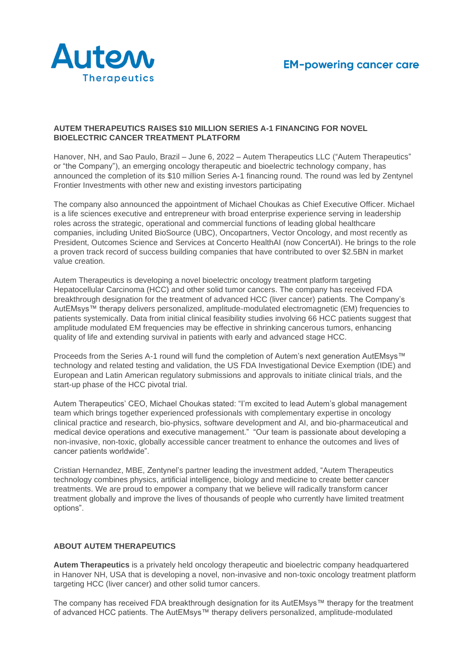

### **AUTEM THERAPEUTICS RAISES \$10 MILLION SERIES A-1 FINANCING FOR NOVEL BIOELECTRIC CANCER TREATMENT PLATFORM**

Hanover, NH, and Sao Paulo, Brazil – June 6, 2022 – Autem Therapeutics LLC ("Autem Therapeutics" or "the Company"), an emerging oncology therapeutic and bioelectric technology company, has announced the completion of its \$10 million Series A-1 financing round. The round was led by Zentynel Frontier Investments with other new and existing investors participating

The company also announced the appointment of Michael Choukas as Chief Executive Officer. Michael is a life sciences executive and entrepreneur with broad enterprise experience serving in leadership roles across the strategic, operational and commercial functions of leading global healthcare companies, including United BioSource (UBC), Oncopartners, Vector Oncology, and most recently as President, Outcomes Science and Services at Concerto HealthAI (now ConcertAI). He brings to the role a proven track record of success building companies that have contributed to over \$2.5BN in market value creation.

Autem Therapeutics is developing a novel bioelectric oncology treatment platform targeting Hepatocellular Carcinoma (HCC) and other solid tumor cancers. The company has received FDA breakthrough designation for the treatment of advanced HCC (liver cancer) patients. The Company's AutEMsys™ therapy delivers personalized, amplitude-modulated electromagnetic (EM) frequencies to patients systemically. Data from initial clinical feasibility studies involving 66 HCC patients suggest that amplitude modulated EM frequencies may be effective in shrinking cancerous tumors, enhancing quality of life and extending survival in patients with early and advanced stage HCC.

Proceeds from the Series A-1 round will fund the completion of Autem's next generation AutEMsys™ technology and related testing and validation, the US FDA Investigational Device Exemption (IDE) and European and Latin American regulatory submissions and approvals to initiate clinical trials, and the start-up phase of the HCC pivotal trial.

Autem Therapeutics' CEO, Michael Choukas stated: "I'm excited to lead Autem's global management team which brings together experienced professionals with complementary expertise in oncology clinical practice and research, bio-physics, software development and AI, and bio-pharmaceutical and medical device operations and executive management." "Our team is passionate about developing a non-invasive, non-toxic, globally accessible cancer treatment to enhance the outcomes and lives of cancer patients worldwide".

Cristian Hernandez, MBE, Zentynel's partner leading the investment added, "Autem Therapeutics technology combines physics, artificial intelligence, biology and medicine to create better cancer treatments. We are proud to empower a company that we believe will radically transform cancer treatment globally and improve the lives of thousands of people who currently have limited treatment options".

## **ABOUT AUTEM THERAPEUTICS**

**Autem Therapeutics** is a privately held oncology therapeutic and bioelectric company headquartered in Hanover NH, USA that is developing a novel, non-invasive and non-toxic oncology treatment platform targeting HCC (liver cancer) and other solid tumor cancers.

The company has received FDA breakthrough designation for its AutEMsys™ therapy for the treatment of advanced HCC patients. The AutEMsys™ therapy delivers personalized, amplitude-modulated